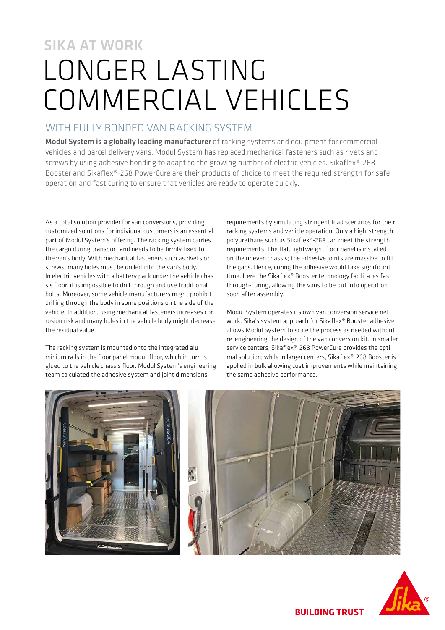# SIKA AT WORK LONGER LASTING COMMERCIAL VEHICLES

### WITH FULLY BONDED VAN RACKING SYSTEM

Modul System is a globally leading manufacturer of racking systems and equipment for commercial vehicles and parcel delivery vans. Modul System has replaced mechanical fasteners such as rivets and screws by using adhesive bonding to adapt to the growing number of electric vehicles. Sikaflex®-268 Booster and Sikaflex®-268 PowerCure are their products of choice to meet the required strength for safe operation and fast curing to ensure that vehicles are ready to operate quickly.

As a total solution provider for van conversions, providing customized solutions for individual customers is an essential part of Modul System's offering. The racking system carries the cargo during transport and needs to be firmly fixed to the van's body. With mechanical fasteners such as rivets or screws, many holes must be drilled into the van's body. In electric vehicles with a battery pack under the vehicle chassis floor, it is impossible to drill through and use traditional bolts. Moreover, some vehicle manufacturers might prohibit drilling through the body in some positions on the side of the vehicle. In addition, using mechanical fasteners increases corrosion risk and many holes in the vehicle body might decrease the residual value.

The racking system is mounted onto the integrated aluminium rails in the floor panel modul-floor, which in turn is glued to the vehicle chassis floor. Modul System's engineering team calculated the adhesive system and joint dimensions

requirements by simulating stringent load scenarios for their racking systems and vehicle operation. Only a high-strength polyurethane such as Sikaflex®-268 can meet the strength requirements. The flat, lightweight floor panel is installed on the uneven chassis; the adhesive joints are massive to fill the gaps. Hence, curing the adhesive would take significant time. Here the Sikaflex® Booster technology facilitates fast through-curing, allowing the vans to be put into operation soon after assembly.

Modul System operates its own van conversion service network. Sika's system approach for Sikaflex® Booster adhesive allows Modul System to scale the process as needed without re-engineering the design of the van conversion kit. In smaller service centers, Sikaflex®-268 PowerCure provides the optimal solution; while in larger centers, Sikaflex®-268 Booster is applied in bulk allowing cost improvements while maintaining the same adhesive performance.







**BUILDING TRUST**